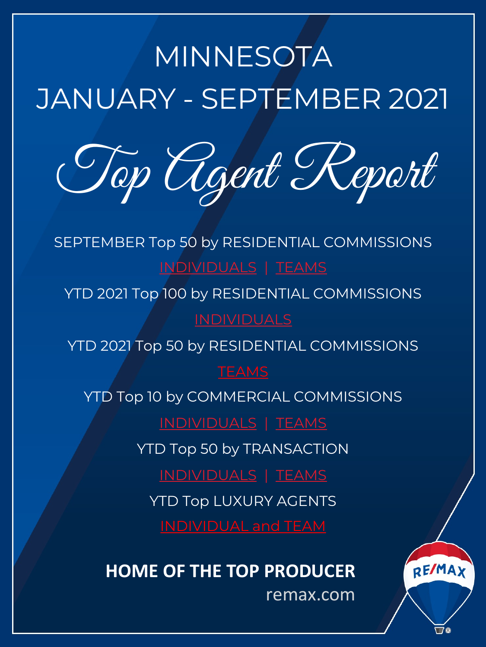# <span id="page-0-0"></span>MINNESOTA JANUARY - SEPTEMBER 2021

Top [Agen](#page-1-0)t [R](#page-3-0)eport

SEPTEMBER Top 50 by RESIDENTIAL COMMISSIONS INDI[VIDUALS](#page-5-0) | TEAMS

YTD 2021 Top 100 by RESIDENTIAL COMMISSIONS

YTD 2021 To[p 50 by RESIDE](#page-11-0)N[TIAL CO](#page-12-0)MMISSIONS

### **TEAMS**

YTD Top 10 by COMMERCIAL COMMISSIONS

[INDIVIDUALS](#page-13-0) | [TEAMS](#page-15-0)

YT[D Top 50 by TRANSACTIO](#page-17-0)N

INDIVIDUALS | TEAMS

YTD Top LUXURY AGENTS

## **HOME OF THE TOP PRODUCER**

remax.com

REMAX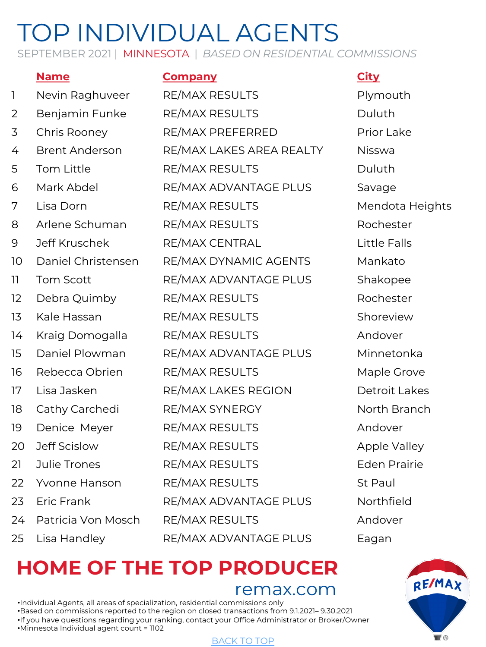<span id="page-1-0"></span>SEPTEMBER 2021 | MINNESOTA | *BASED ON RESIDENTIAL COMMISSIONS*

### **Name Company City** 1 Nevin Raghuveer RE/MAX RESULTS Plymouth 2 Benjamin Funke RE/MAX RESULTS Duluth 3 Chris Rooney RE/MAX PREFERRED Prior Lake 4 Brent Anderson RE/MAX LAKES AREA REALTY Nisswa 5 Tom Little **RE/MAX RESULTS** Duluth 6 Mark Abdel RE/MAX ADVANTAGE PLUS Savage 7 Lisa Dorn RE/MAX RESULTS Mendota Heights 8 Arlene Schuman RE/MAX RESULTS Rochester 9 Jeff Kruschek RE/MAX CENTRAL Little Falls 10 Daniel Christensen RE/MAX DYNAMIC AGENTS Mankato 11 Tom Scott RE/MAX ADVANTAGE PLUS Shakopee 12 Debra Quimby RE/MAX RESULTS Rochester 13 Kale Hassan RE/MAX RESULTS Shoreview 14 Kraig Domogalla RE/MAX RESULTS Andover 15 Daniel Plowman RE/MAX ADVANTAGE PLUS Minnetonka 16 Rebecca Obrien RE/MAX RESULTS Maple Grove 17 Lisa Jasken RE/MAX LAKES REGION Detroit Lakes 18 Cathy Carchedi RE/MAX SYNERGY North Branch 19 Denice Meyer RE/MAX RESULTS Andover 20 Jeff Scislow RE/MAX RESULTS Apple Valley 21 Julie Trones RE/MAX RESULTS Eden Prairie 22 Yvonne Hanson RE/MAX RESULTS St Paul 23 Eric Frank RE/MAX ADVANTAGE PLUS Northfield 24 Patricia Von Mosch RE/MAX RESULTS Andover

25 Lisa Handley RE/MAX ADVANTAGE PLUS Eagan

# **HOME OF THE TO[P PROD](#page-0-0)UCER**

remax.com

•Individual Agents, all areas of specialization, residential commissions only •Based on commissions reported to the region on closed transactions from 9.1.2021– 9.30.2021 •If you have questions regarding your ranking, contact your Office Administrator or Broker/Owner •Minnesota Individual agent count = 1102



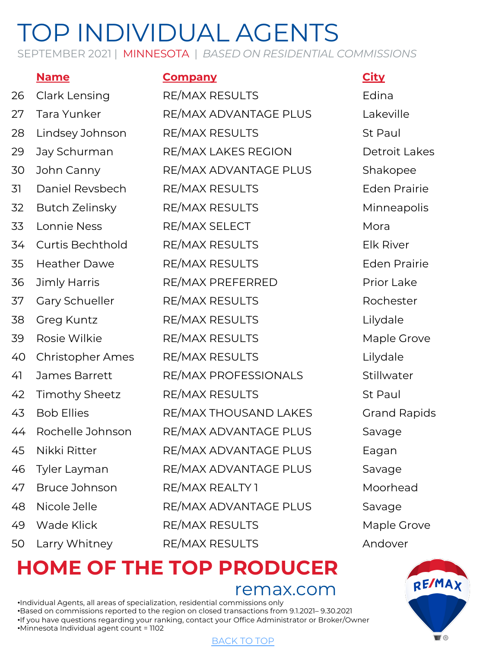SEPTEMBER 2021 | MINNESOTA | *BASED ON RESIDENTIAL COMMISSIONS*

### **Name Company City**

| 26 | Clark Lensing           | RE/MAX RESULTS        | Edina            |
|----|-------------------------|-----------------------|------------------|
| 27 | Tara Yunker             | RE/MAX ADVANTAGE PLUS | Lakeville        |
| 28 | Lindsey Johnson         | RE/MAX RESULTS        | St Paul          |
| 29 | Jay Schurman            | RE/MAX LAKES REGION   | Detroit L        |
| 30 | John Canny              | RE/MAX ADVANTAGE PLUS | Shakope          |
| 31 | Daniel Revsbech         | RE/MAX RESULTS        | <b>Eden Pra</b>  |
| 32 | <b>Butch Zelinsky</b>   | RE/MAX RESULTS        | Minneap          |
| 33 | Lonnie Ness             | RE/MAX SELECT         | Mora             |
| 34 | <b>Curtis Bechthold</b> | RE/MAX RESULTS        | <b>Elk River</b> |
| 35 | <b>Heather Dawe</b>     | RE/MAX RESULTS        | Eden Pra         |
| 36 | <b>Jimly Harris</b>     | RE/MAX PREFERRED      | Prior Lak        |
| 37 | Gary Schueller          | RE/MAX RESULTS        | Rocheste         |
| 38 | Greg Kuntz              | RE/MAX RESULTS        | Lilydale         |
| 39 | Rosie Wilkie            | RE/MAX RESULTS        | Maple Gr         |
| 40 | <b>Christopher Ames</b> | RE/MAX RESULTS        | Lilydale         |
| 41 | James Barrett           | RE/MAX PROFESSIONALS  | Stillwate        |
| 42 | <b>Timothy Sheetz</b>   | RE/MAX RESULTS        | St Paul          |
| 43 | <b>Bob Ellies</b>       | RE/MAX THOUSAND LAKES | <b>Grand Ra</b>  |
| 44 | Rochelle Johnson        | RE/MAX ADVANTAGE PLUS | Savage           |
| 45 | Nikki Ritter            | RE/MAX ADVANTAGE PLUS | Eagan            |
| 46 | Tyler Layman            | RE/MAX ADVANTAGE PLUS | Savage           |
| 47 | Bruce Johnson           | RE/MAX REALTY 1       | Moorhea          |
| 48 | Nicole Jelle            | RE/MAX ADVANTAGE PLUS | Savage           |
| 49 | Wade Klick              | RE/MAX RESULTS        | Maple Gr         |
| 50 | Larry Whitney           | RE/MAX RESULTS        | Andover          |

# Detroit Lakes Shakopee Eden Prairie Minneapolis **Eden Prairie** Prior Lake Rochester Maple Grove Lilydale Stillwater Grand Rapids Moorhead Maple Grove

# **HOME OF THE TO[P PROD](#page-0-0)UCER**

remax.com

•Individual Agents, all areas of specialization, residential commissions only •Based on commissions reported to the region on closed transactions from 9.1.2021– 9.30.2021 •If you have questions regarding your ranking, contact your Office Administrator or Broker/Owner •Minnesota Individual agent count = 1102

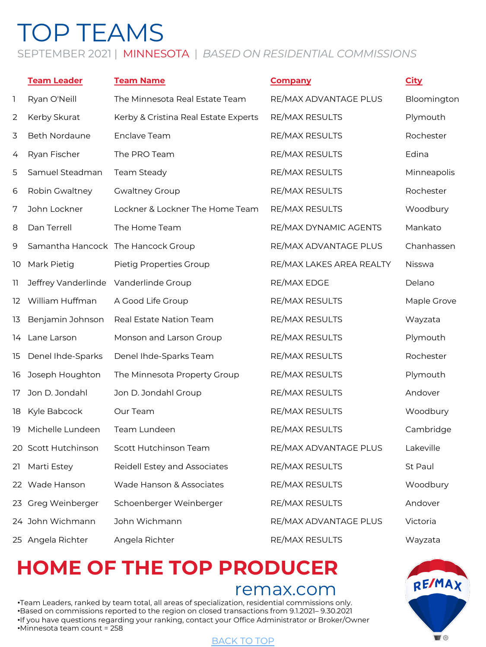### <span id="page-3-0"></span>SEPTEMBER 2021 | MINNESOTA | *BASED ON RESIDENTIAL COMMISSIONS*

|     | <b>Team Leader</b>                    | <b>Team Name</b>                     | <b>Company</b>           | <b>City</b>   |
|-----|---------------------------------------|--------------------------------------|--------------------------|---------------|
| 1   | Ryan O'Neill                          | The Minnesota Real Estate Team       | RE/MAX ADVANTAGE PLUS    | Bloomington   |
| 2   | Kerby Skurat                          | Kerby & Cristina Real Estate Experts | RE/MAX RESULTS           | Plymouth      |
| 3   | Beth Nordaune                         | Enclave Team                         | RE/MAX RESULTS           | Rochester     |
| 4   | Ryan Fischer                          | The PRO Team                         | RE/MAX RESULTS           | Edina         |
| 5   | Samuel Steadman                       | Team Steady                          | RE/MAX RESULTS           | Minneapolis   |
| 6   | Robin Gwaltney                        | <b>Gwaltney Group</b>                | RE/MAX RESULTS           | Rochester     |
| 7   | John Lockner                          | Lockner & Lockner The Home Team      | RE/MAX RESULTS           | Woodbury      |
| 8   | Dan Terrell                           | The Home Team                        | RE/MAX DYNAMIC AGENTS    | Mankato       |
| 9   |                                       | Samantha Hancock The Hancock Group   | RE/MAX ADVANTAGE PLUS    | Chanhassen    |
| 10  | Mark Pietig                           | Pietig Properties Group              | RE/MAX LAKES AREA REALTY | <b>Nisswa</b> |
| 11. | Jeffrey Vanderlinde Vanderlinde Group |                                      | RE/MAX EDGE              | Delano        |
| 12  | William Huffman                       | A Good Life Group                    | RE/MAX RESULTS           | Maple Grove   |
| 13  | Benjamin Johnson                      | Real Estate Nation Team              | RE/MAX RESULTS           | Wayzata       |
| 14  | Lane Larson                           | Monson and Larson Group              | RE/MAX RESULTS           | Plymouth      |
| 15  | Denel Ihde-Sparks                     | Denel Ihde-Sparks Team               | RE/MAX RESULTS           | Rochester     |
| 16  | Joseph Houghton                       | The Minnesota Property Group         | RE/MAX RESULTS           | Plymouth      |
| 17  | Jon D. Jondahl                        | Jon D. Jondahl Group                 | RE/MAX RESULTS           | Andover       |
| 18  | Kyle Babcock                          | Our Team                             | RE/MAX RESULTS           | Woodbury      |
| 19  | Michelle Lundeen                      | Team Lundeen                         | RE/MAX RESULTS           | Cambridge     |
|     | 20 Scott Hutchinson                   | Scott Hutchinson Team                | RE/MAX ADVANTAGE PLUS    | Lakeville     |
| 21  | Marti Estey                           | Reidell Estey and Associates         | RE/MAX RESULTS           | St Paul       |
|     | 22 Wade Hanson                        | Wade Hanson & Associates             | RE/MAX RESULTS           | Woodbury      |
| 23  | Greg Weinberger                       | Schoenberger Weinberger              | RE/MAX RESULTS           | Andover       |
|     | 24 John Wichmann                      | John Wichmann                        | RE/MAX ADVANTAGE PLUS    | Victoria      |
|     | 25 Angela Richter                     | Angela Richter                       | RE/MAX RESULTS           | Wayzata       |

# **HOME OF THE TO[P PROD](#page-0-0)UCER**

### remax.com

•Team Leaders, ranked by team total, all areas of specialization, residential commissions only. •Based on commissions reported to the region on closed transactions from 9.1.2021– 9.30.2021 •If you have questions regarding your ranking, contact your Office Administrator or Broker/Owner •Minnesota team count = 258

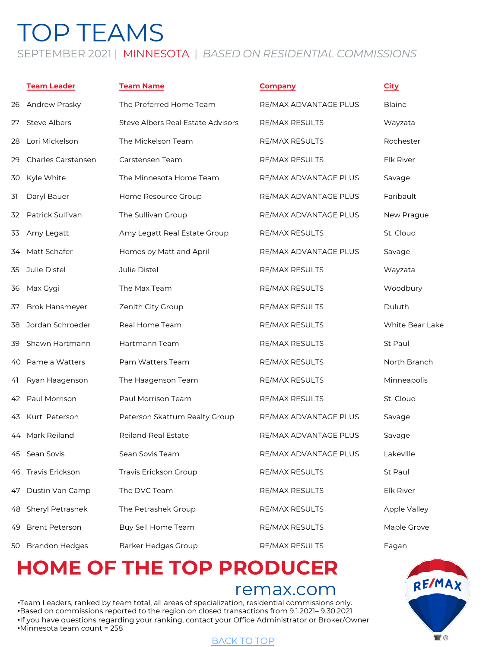## TOP TEAMS SEPTEMBER 2021 | MINNESOTA | *BASED ON RESIDENTIAL COMMISSIONS*

### **Team Leader Team Name Company City** 26 Andrew Prasky The Preferred Home Team RE/MAX ADVANTAGE PLUS Blaine 27 Steve Albers Steve Albers Real Estate Advisors RE/MAX RESULTS Wayzata 28 Lori Mickelson The Mickelson Team RE/MAX RESULTS Rochester 29 Charles Carstensen Carstensen Team RE/MAX RESULTS Elk River 30 Kyle White The Minnesota Home Team RE/MAX ADVANTAGE PLUS Savage 31 Daryl Bauer Home Resource Group RE/MAX ADVANTAGE PLUS Faribault 32 Patrick Sullivan The Sullivan Group The RE/MAX ADVANTAGE PLUS New Prague 33 Amy Legatt Amy Legatt Real Estate Group RE/MAX RESULTS St. Cloud 34 Matt Schafer **Homes by Matt and April FILMAX ADVANTAGE PLUS** Savage 35 Julie Distel Julie Distel RE/MAX RESULTS Wayzata 36 Max Gygi The Max Team RE/MAX RESULTS Woodbury 37 Brok Hansmeyer 2 Zenith City Group **RE/MAX RESULTS** Duluth 38 Jordan Schroeder Real Home Team RE/MAX RESULTS White Bear Lake 39 Shawn Hartmann Hartmann Team RE/MAX RESULTS St Paul 40 Pamela Watters **Pam Watters Team Accommunity RE/MAX RESULTS** North Branch 41 Ryan Haagenson The Haagenson Team RE/MAX RESULTS Minneapolis 42 Paul Morrison Paul Morrison Team RE/MAX RESULTS St. Cloud 43 Kurt Peterson **Peterson Skattum Realty Group RE/MAX ADVANTAGE PLUS** Savage 44 Mark Reiland **Reiland Real Estate Real Accepts** RE/MAX ADVANTAGE PLUS Savage 45 Sean Sovis Sean Sovis Team RE/MAX ADVANTAGE PLUS Lakeville 46 Travis Erickson Travis Erickson Group Travis Erickson Group RE/MAX RESULTS St Paul 47 Dustin Van Camp The DVC Team Realth RE/MAX RESULTS Elk River 48 Sheryl Petrashek The Petrashek Group **RE/MAX RESULTS** Apple Valley 49 Brent Peterson Buy Sell Home Team **RE/MAX RESULTS** Maple Grove 50 Brandon Hedges Barker Hedges Group RE/MAX RESULTS Eagan

# **HOME OF THE TO[P PROD](#page-0-0)UCER**

### remax.com

•Team Leaders, ranked by team total, all areas of specialization, residential commissions only. •Based on commissions reported to the region on closed transactions from 9.1.2021– 9.30.2021 •If you have questions regarding your ranking, contact your Office Administrator or Broker/Owner •Minnesota team count = 258

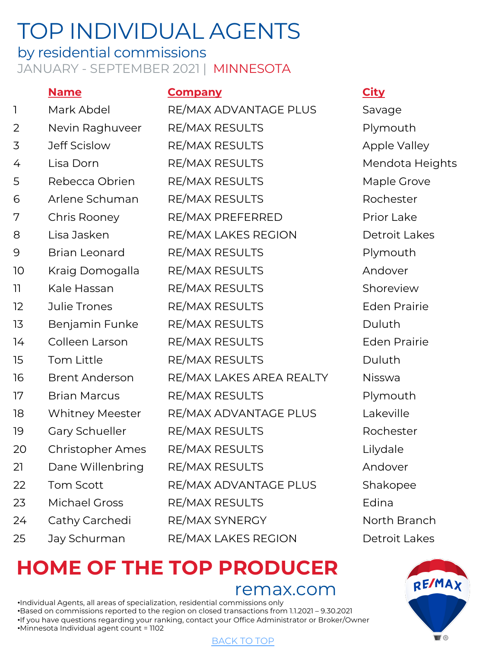### <span id="page-5-0"></span>by residential commissions JANUARY - SEPTEMBER 2021 | MINNESOTA

### **Name Company City** 1 Mark Abdel RE/MAX ADVANTAGE PLUS Savage 2 Nevin Raghuveer RE/MAX RESULTS Plymouth 3 Jeff Scislow RE/MAX RESULTS Apple Valley 4 Lisa Dorn RE/MAX RESULTS Mendota Heights 5 Rebecca Obrien RE/MAX RESULTS Maple Grove 6 Arlene Schuman RE/MAX RESULTS Rochester 7 Chris Rooney RE/MAX PREFERRED Prior Lake 8 Lisa Jasken RE/MAX LAKES REGION Detroit Lakes 9 Brian Leonard RE/MAX RESULTS Plymouth 10 Kraig Domogalla RE/MAX RESULTS Andover 11 Kale Hassan RE/MAX RESULTS Shoreview 12 Julie Trones RE/MAX RESULTS Eden Prairie 13 Benjamin Funke RE/MAX RESULTS Duluth 14 Colleen Larson RE/MAX RESULTS Eden Prairie 15 Tom Little RE/MAX RESULTS Duluth 16 Brent Anderson RE/MAX LAKES AREA REALTY Nisswa 17 Brian Marcus RE/MAX RESULTS Plymouth 18 Whitney Meester RE/MAX ADVANTAGE PLUS Lakeville 19 Gary Schueller RE/MAX RESULTS Rochester 20 Christopher Ames RE/MAX RESULTS Lilydale 21 Dane Willenbring RE/MAX RESULTS THE MAND Andover 22 Tom Scott RE/MAX ADVANTAGE PLUS Shakopee 23 Michael Gross RE/MAX RESULTS Edina 24 Cathy Carchedi RE/MAX SYNERGY North Branch 25 Jay Schurman RE/MAX LAKES REGION Detroit Lakes

# **HOME OF THE TO[P PROD](#page-0-0)UCER**

remax.com

•Individual Agents, all areas of specialization, residential commissions only •Based on commissions reported to the region on closed transactions from 1.1.2021 – 9.30.2021 •If you have questions regarding your ranking, contact your Office Administrator or Broker/Owner •Minnesota Individual agent count = 1102

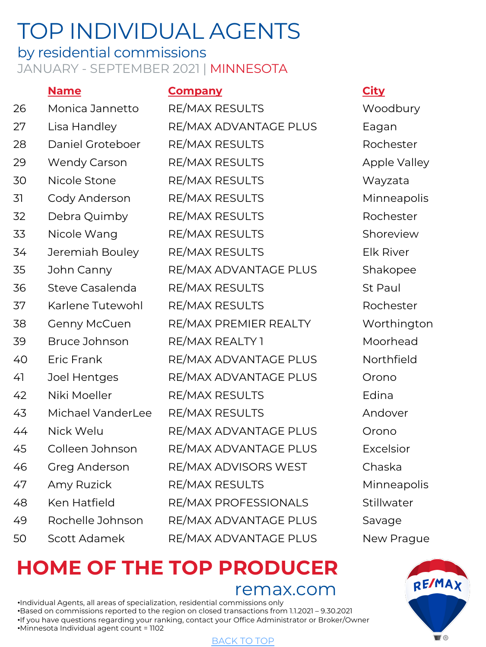### by residential commissions JANUARY - SEPTEMBER 2021 | MINNESOTA

### **Name Company City** 26 Monica Jannetto RE/MAX RESULTS Woodbury 27 Lisa Handley RE/MAX ADVANTAGE PLUS Eagan 28 Daniel Groteboer RE/MAX RESULTS Rochester 29 Wendy Carson RE/MAX RESULTS Apple Valley 30 Nicole Stone RE/MAX RESULTS Wayzata 31 Cody Anderson RE/MAX RESULTS Minneapolis 32 Debra Quimby RE/MAX RESULTS Rochester 33 Nicole Wang RE/MAX RESULTS Shoreview 34 Jeremiah Bouley RE/MAX RESULTS Elk River 35 John Canny RE/MAX ADVANTAGE PLUS Shakopee 36 Steve Casalenda RE/MAX RESULTS St Paul 37 Karlene Tutewohl RE/MAX RESULTS Rochester 38 Genny McCuen RE/MAX PREMIER REALTY Worthington 39 Bruce Johnson RE/MAX REALTY 1 Moorhead 40 Eric Frank RE/MAX ADVANTAGE PLUS Northfield 41 Joel Hentges RE/MAX ADVANTAGE PLUS Orono 42 Niki Moeller RE/MAX RESULTS Edina 43 Michael VanderLee RE/MAX RESULTS Andover 44 Nick Welu RE/MAX ADVANTAGE PLUS Orono 45 Colleen Johnson RE/MAX ADVANTAGE PLUS Excelsior 46 Greg Anderson RE/MAX ADVISORS WEST Chaska 47 Amy Ruzick RE/MAX RESULTS Minneapolis 48 Ken Hatfield RE/MAX PROFESSIONALS Stillwater 49 Rochelle Johnson RE/MAX ADVANTAGE PLUS Savage 50 Scott Adamek RE/MAX ADVANTAGE PLUS New Prague

# **HOME OF THE TO[P PROD](#page-0-0)UCER**

remax.com

•Individual Agents, all areas of specialization, residential commissions only •Based on commissions reported to the region on closed transactions from 1.1.2021 – 9.30.2021 •If you have questions regarding your ranking, contact your Office Administrator or Broker/Owner •Minnesota Individual agent count = 1102

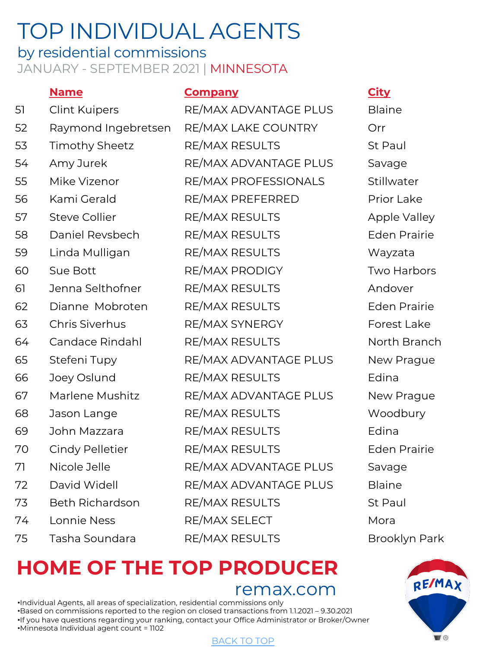### by residential commissions JANUARY - SEPTEMBER 2021 | MINNESOTA

|    | <b>Name</b>            | <b>Company</b>        | <b>City</b>   |
|----|------------------------|-----------------------|---------------|
| 51 | <b>Clint Kuipers</b>   | RE/MAX ADVANTAGE PLUS | <b>Blaine</b> |
| 52 | Raymond Ingebretsen    | RE/MAX LAKE COUNTRY   | Orr           |
| 53 | <b>Timothy Sheetz</b>  | RE/MAX RESULTS        | St Paul       |
| 54 | Amy Jurek              | RE/MAX ADVANTAGE PLUS | Savage        |
| 55 | Mike Vizenor           | RE/MAX PROFESSIONALS  | Stillwater    |
| 56 | Kami Gerald            | RE/MAX PREFERRED      | Prior Lake    |
| 57 | <b>Steve Collier</b>   | <b>RE/MAX RESULTS</b> | Apple Vall    |
| 58 | Daniel Revsbech        | RE/MAX RESULTS        | Eden Prai     |
| 59 | Linda Mulligan         | <b>RE/MAX RESULTS</b> | Wayzata       |
| 60 | Sue Bott               | RE/MAX PRODIGY        | Two Harbo     |
| 61 | Jenna Selthofner       | <b>RE/MAX RESULTS</b> | Andover       |
| 62 | Dianne Mobroten        | RE/MAX RESULTS        | Eden Prai     |
| 63 | <b>Chris Siverhus</b>  | RE/MAX SYNERGY        | Forest Lak    |
| 64 | Candace Rindahl        | RE/MAX RESULTS        | North Brai    |
| 65 | Stefeni Tupy           | RE/MAX ADVANTAGE PLUS | New Prag      |
| 66 | Joey Oslund            | <b>RE/MAX RESULTS</b> | Edina         |
| 67 | Marlene Mushitz        | RE/MAX ADVANTAGE PLUS | New Prag      |
| 68 | Jason Lange            | <b>RE/MAX RESULTS</b> | Woodbury      |
| 69 | John Mazzara           | RE/MAX RESULTS        | Edina         |
| 70 | <b>Cindy Pelletier</b> | <b>RE/MAX RESULTS</b> | Eden Prai     |
| 71 | Nicole Jelle           | RE/MAX ADVANTAGE PLUS | Savage        |
| 72 | David Widell           | RE/MAX ADVANTAGE PLUS | <b>Blaine</b> |
| 73 | <b>Beth Richardson</b> | RE/MAX RESULTS        | St Paul       |
| 74 | Lonnie Ness            | RE/MAX SELECT         | Mora          |
| 75 | Tasha Soundara         | RE/MAX RESULTS        | Brooklyn I    |
|    |                        |                       |               |

Stillwater Apple Valley **Eden Prairie** Wayzata Two Harbors Eden Prairie Forest Lake North Branch New Prague New Prague Woodbury Eden Prairie Brooklyn Park

# **HOME OF THE TO[P PROD](#page-0-0)UCER**

remax.com

•Individual Agents, all areas of specialization, residential commissions only •Based on commissions reported to the region on closed transactions from 1.1.2021 – 9.30.2021 •If you have questions regarding your ranking, contact your Office Administrator or Broker/Owner •Minnesota Individual agent count = 1102

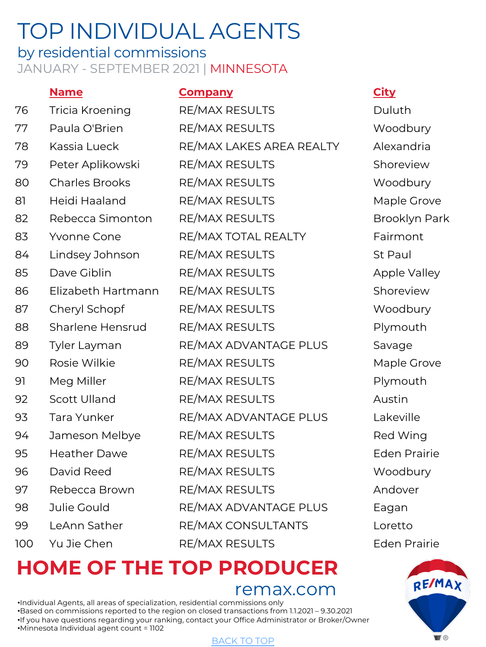### by residential commissions JANUARY - SEPTEMBER 2021 | MINNESOTA

### **Name Company City** 76 Tricia Kroening RE/MAX RESULTS Duluth 77 Paula O'Brien RE/MAX RESULTS Woodbury 78 Kassia Lueck RE/MAX LAKES AREA REALTY Alexandria 79 Peter Aplikowski RE/MAX RESULTS Shoreview 80 Charles Brooks RE/MAX RESULTS Woodbury 81 Heidi Haaland RE/MAX RESULTS Maple Grove 82 Rebecca Simonton RE/MAX RESULTS Brooklyn Park 83 Yvonne Cone RE/MAX TOTAL REALTY Fairmont 84 Lindsey Johnson RE/MAX RESULTS St Paul 85 Dave Giblin RE/MAX RESULTS Apple Valley 86 Elizabeth Hartmann RE/MAX RESULTS Shoreview 87 Cheryl Schopf RE/MAX RESULTS Woodbury 88 Sharlene Hensrud RE/MAX RESULTS Plymouth 89 Tyler Layman RE/MAX ADVANTAGE PLUS Savage 90 Rosie Wilkie RE/MAX RESULTS Maple Grove 91 Meg Miller RE/MAX RESULTS Plymouth 92 Scott Ulland RE/MAX RESULTS Austin 93 Tara Yunker RE/MAX ADVANTAGE PLUS Lakeville 94 Jameson Melbye RE/MAX RESULTS Red Wing 95 Heather Dawe RE/MAX RESULTS Eden Prairie 96 David Reed RE/MAX RESULTS Woodbury 97 Rebecca Brown RE/MAX RESULTS Andover 98 Julie Gould RE/MAX ADVANTAGE PLUS Eagan 99 LeAnn Sather RE/MAX CONSULTANTS Loretto 100 Yu Jie Chen RE/MAX RESULTS Eden Prairie

# **HOME OF THE TO[P PROD](#page-0-0)UCER**

remax.com

•Individual Agents, all areas of specialization, residential commissions only •Based on commissions reported to the region on closed transactions from 1.1.2021 – 9.30.2021 •If you have questions regarding your ranking, contact your Office Administrator or Broker/Owner •Minnesota Individual agent count = 1102

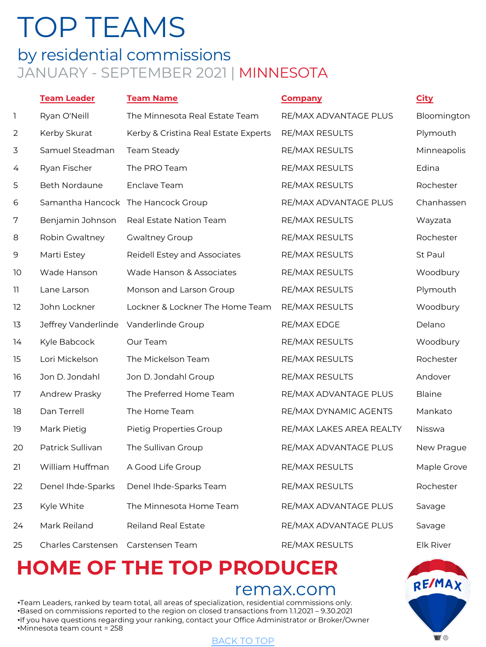### <span id="page-9-0"></span>by residential commissions JANUARY - SEPTEMBER 2021 | MINNESOTA

|    | <b>Team Leader</b>  | <b>Team Name</b>                     | <b>Company</b>           | <b>City</b>      |
|----|---------------------|--------------------------------------|--------------------------|------------------|
| 1  | Ryan O'Neill        | The Minnesota Real Estate Team       | RE/MAX ADVANTAGE PLUS    | Bloomington      |
| 2  | Kerby Skurat        | Kerby & Cristina Real Estate Experts | <b>RE/MAX RESULTS</b>    | Plymouth         |
| 3  | Samuel Steadman     | Team Steady                          | RE/MAX RESULTS           | Minneapolis      |
| 4  | Ryan Fischer        | The PRO Team                         | RE/MAX RESULTS           | Edina            |
| 5  | Beth Nordaune       | Enclave Team                         | RE/MAX RESULTS           | Rochester        |
| 6  |                     | Samantha Hancock The Hancock Group   | RE/MAX ADVANTAGE PLUS    | Chanhassen       |
| 7  | Benjamin Johnson    | Real Estate Nation Team              | RE/MAX RESULTS           | Wayzata          |
| 8  | Robin Gwaltney      | <b>Gwaltney Group</b>                | RE/MAX RESULTS           | Rochester        |
| 9  | Marti Estey         | Reidell Estey and Associates         | RE/MAX RESULTS           | St Paul          |
| 10 | Wade Hanson         | Wade Hanson & Associates             | RE/MAX RESULTS           | Woodbury         |
| 11 | Lane Larson         | Monson and Larson Group              | RE/MAX RESULTS           | Plymouth         |
| 12 | John Lockner        | Lockner & Lockner The Home Team      | RE/MAX RESULTS           | Woodbury         |
| 13 | Jeffrey Vanderlinde | Vanderlinde Group                    | RE/MAX EDGE              | Delano           |
| 14 | Kyle Babcock        | Our Team                             | RE/MAX RESULTS           | Woodbury         |
| 15 | Lori Mickelson      | The Mickelson Team                   | RE/MAX RESULTS           | Rochester        |
| 16 | Jon D. Jondahl      | Jon D. Jondahl Group                 | RE/MAX RESULTS           | Andover          |
| 17 | Andrew Prasky       | The Preferred Home Team              | RE/MAX ADVANTAGE PLUS    | <b>Blaine</b>    |
| 18 | Dan Terrell         | The Home Team                        | RE/MAX DYNAMIC AGENTS    | Mankato          |
| 19 | Mark Pietig         | Pietig Properties Group              | RE/MAX LAKES AREA REALTY | Nisswa           |
| 20 | Patrick Sullivan    | The Sullivan Group                   | RE/MAX ADVANTAGE PLUS    | New Prague       |
| 21 | William Huffman     | A Good Life Group                    | <b>RE/MAX RESULTS</b>    | Maple Grove      |
| 22 | Denel Ihde-Sparks   | Denel Ihde-Sparks Team               | RE/MAX RESULTS           | Rochester        |
| 23 | Kyle White          | The Minnesota Home Team              | RE/MAX ADVANTAGE PLUS    | Savage           |
| 24 | Mark Reiland        | <b>Reiland Real Estate</b>           | RE/MAX ADVANTAGE PLUS    | Savage           |
| 25 | Charles Carstensen  | Carstensen Team                      | RE/MAX RESULTS           | <b>Elk River</b> |

# **HOME OF THE TO[P PROD](#page-0-0)UCER**

### remax.com

•Team Leaders, ranked by team total, all areas of specialization, residential commissions only. •Based on commissions reported to the region on closed transactions from 1.1.2021 – 9.30.2021 •If you have questions regarding your ranking, contact your Office Administrator or Broker/Owner •Minnesota team count = 258

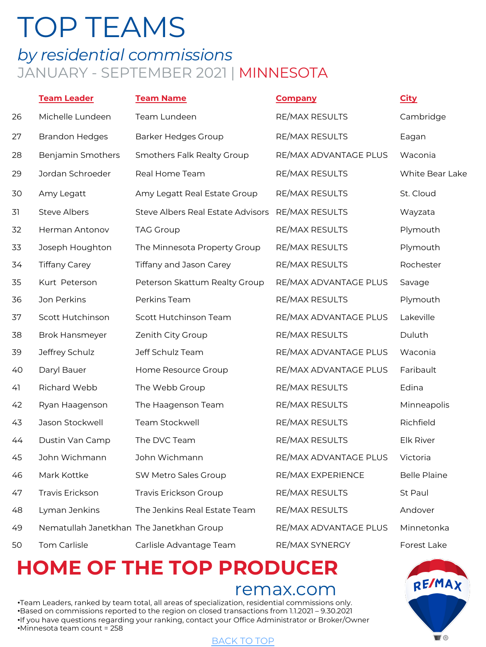## *by residential commissions* JANUARY - SEPTEMBER 2021 | MINNESOTA

|    | <b>Team Leader</b>                       | <b>Team Name</b>                  | <b>Company</b>        | <b>City</b>         |
|----|------------------------------------------|-----------------------------------|-----------------------|---------------------|
| 26 | Michelle Lundeen                         | Team Lundeen                      | <b>RE/MAX RESULTS</b> | Cambridge           |
| 27 | <b>Brandon Hedges</b>                    | <b>Barker Hedges Group</b>        | RE/MAX RESULTS        | Eagan               |
| 28 | Benjamin Smothers                        | Smothers Falk Realty Group        | RE/MAX ADVANTAGE PLUS | Waconia             |
| 29 | Jordan Schroeder                         | Real Home Team                    | <b>RE/MAX RESULTS</b> | White Bear Lake     |
| 30 | Amy Legatt                               | Amy Legatt Real Estate Group      | <b>RE/MAX RESULTS</b> | St. Cloud           |
| 31 | <b>Steve Albers</b>                      | Steve Albers Real Estate Advisors | RE/MAX RESULTS        | Wayzata             |
| 32 | <b>Herman Antonov</b>                    | <b>TAG Group</b>                  | RE/MAX RESULTS        | Plymouth            |
| 33 | Joseph Houghton                          | The Minnesota Property Group      | RE/MAX RESULTS        | Plymouth            |
| 34 | <b>Tiffany Carey</b>                     | Tiffany and Jason Carey           | RE/MAX RESULTS        | Rochester           |
| 35 | Kurt Peterson                            | Peterson Skattum Realty Group     | RE/MAX ADVANTAGE PLUS | Savage              |
| 36 | Jon Perkins                              | Perkins Team                      | RE/MAX RESULTS        | Plymouth            |
| 37 | Scott Hutchinson                         | Scott Hutchinson Team             | RE/MAX ADVANTAGE PLUS | Lakeville           |
| 38 | <b>Brok Hansmeyer</b>                    | Zenith City Group                 | RE/MAX RESULTS        | Duluth              |
| 39 | Jeffrey Schulz                           | Jeff Schulz Team                  | RE/MAX ADVANTAGE PLUS | Waconia             |
| 40 | Daryl Bauer                              | Home Resource Group               | RE/MAX ADVANTAGE PLUS | Faribault           |
| 41 | Richard Webb                             | The Webb Group                    | RE/MAX RESULTS        | Edina               |
| 42 | Ryan Haagenson                           | The Haagenson Team                | RE/MAX RESULTS        | Minneapolis         |
| 43 | Jason Stockwell                          | Team Stockwell                    | RE/MAX RESULTS        | Richfield           |
| 44 | Dustin Van Camp                          | The DVC Team                      | RE/MAX RESULTS        | <b>Elk River</b>    |
| 45 | John Wichmann                            | John Wichmann                     | RE/MAX ADVANTAGE PLUS | Victoria            |
| 46 | Mark Kottke                              | SW Metro Sales Group              | RE/MAX EXPERIENCE     | <b>Belle Plaine</b> |
| 47 | <b>Travis Erickson</b>                   | Travis Erickson Group             | <b>RE/MAX RESULTS</b> | St Paul             |
| 48 | Lyman Jenkins                            | The Jenkins Real Estate Team      | RE/MAX RESULTS        | Andover             |
| 49 | Nematullah Janetkhan The Janetkhan Group |                                   | RE/MAX ADVANTAGE PLUS | Minnetonka          |
| 50 | <b>Tom Carlisle</b>                      | Carlisle Advantage Team           | RE/MAX SYNERGY        | Forest Lake         |

# **HOME OF THE TO[P PROD](#page-0-0)UCER**

### remax.com

•Team Leaders, ranked by team total, all areas of specialization, residential commissions only. •Based on commissions reported to the region on closed transactions from 1.1.2021 – 9.30.2021 •If you have questions regarding your ranking, contact your Office Administrator or Broker/Owner •Minnesota team count = 258

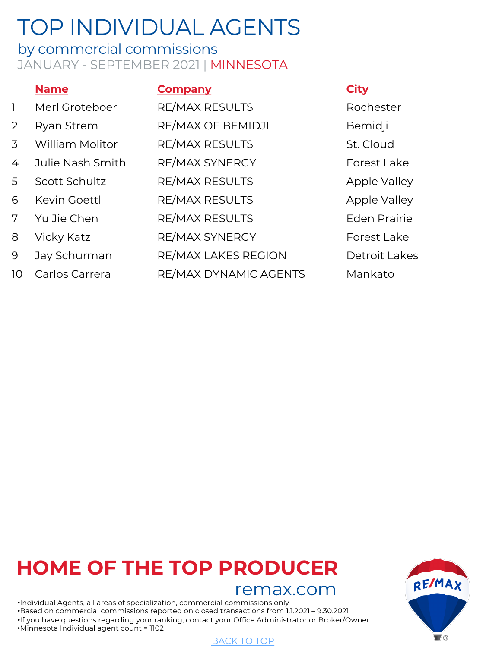### by commercial commissions JANUARY - SEPTEMBER 2021 | MINNESOTA

|                | <b>Name</b>            | <b>Company</b>        | <b>City</b> |
|----------------|------------------------|-----------------------|-------------|
| $\mathbb{L}$   | Merl Groteboer         | RE/MAX RESULTS        | Rocl        |
| $\overline{2}$ | Ryan Strem             | RE/MAX OF BEMIDJI     | Bem         |
| 3              | <b>William Molitor</b> | RE/MAX RESULTS        | St.C        |
| 4              | Julie Nash Smith       | RE/MAX SYNERGY        | Fore        |
| 5              | Scott Schultz          | RE/MAX RESULTS        | App         |
| 6              | Kevin Goettl           | <b>RE/MAX RESULTS</b> | App         |
| 7              | Yu Jie Chen            | <b>RE/MAX RESULTS</b> | Ede         |
| 8              | Vicky Katz             | RE/MAX SYNERGY        | Fore        |
| 9              | Jay Schurman           | RE/MAX LAKES REGION   | Detr        |
| 10             | Carlos Carrera         | RE/MAX DYNAMIC AGENTS | Mar         |
|                |                        |                       |             |

<span id="page-11-0"></span>Rochester **Bemidji** St. Cloud Forest Lake Apple Valley Apple Valley Eden Prairie Forest Lake Detroit Lakes Mankato

# **HOME OF THE TO[P PROD](#page-0-0)UCER**

### remax.com

•Individual Agents, all areas of specialization, commercial commissions only •Based on commercial commissions reported on closed transactions from 1.1.2021 – 9.30.2021 •If you have questions regarding your ranking, contact your Office Administrator or Broker/Owner •Minnesota Individual agent count = 1102

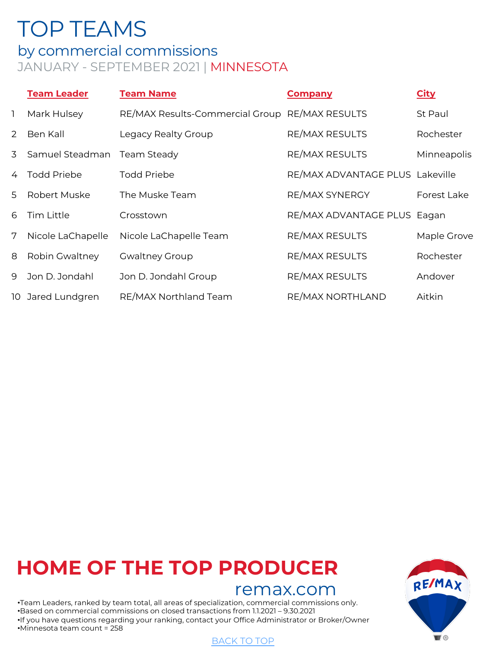## <span id="page-12-0"></span>by commercial commissions

## JANUARY - SEPTEMBER 2021 | MINNESOTA

|          | <b>Team Leader</b> | <b>Team Name</b>                | <b>Company</b>                  | <b>City</b> |
|----------|--------------------|---------------------------------|---------------------------------|-------------|
| <b>T</b> | Mark Hulsey        | RE/MAX Results-Commercial Group | <b>RE/MAX RESULTS</b>           | St Paul     |
| 2        | Ben Kall           | Legacy Realty Group             | <b>RE/MAX RESULTS</b>           | Rochester   |
| 3        | Samuel Steadman    | Team Steady                     | <b>RE/MAX RESULTS</b>           | Minneapolis |
|          | <b>Todd Priebe</b> | Todd Priebe                     | RE/MAX ADVANTAGE PLUS Lakeville |             |
| .5       | Robert Muske       | The Muske Team                  | RE/MAX SYNERGY                  | Forest Lake |
| 6        | Tim Little         | Crosstown                       | RE/MAX ADVANTAGE PLUS Eagan     |             |
| 7        | Nicole LaChapelle  | Nicole LaChapelle Team          | <b>RE/MAX RESULTS</b>           | Maple Grove |
| 8        | Robin Gwaltney     | <b>Gwaltney Group</b>           | <b>RE/MAX RESULTS</b>           | Rochester   |
| 9        | Jon D. Jondahl     | Jon D. Jondahl Group            | <b>RE/MAX RESULTS</b>           | Andover     |
|          | 10 Jared Lundgren  | RE/MAX Northland Team           | RE/MAX NORTHLAND                | Aitkin      |

## **HOME OF THE TO[P PROD](#page-0-0)UCER**

### remax.com

•Team Leaders, ranked by team total, all areas of specialization, commercial commissions only. •Based on commercial commissions on closed transactions from 1.1.2021 – 9.30.2021 •If you have questions regarding your ranking, contact your Office Administrator or Broker/Owner •Minnesota team count = 258

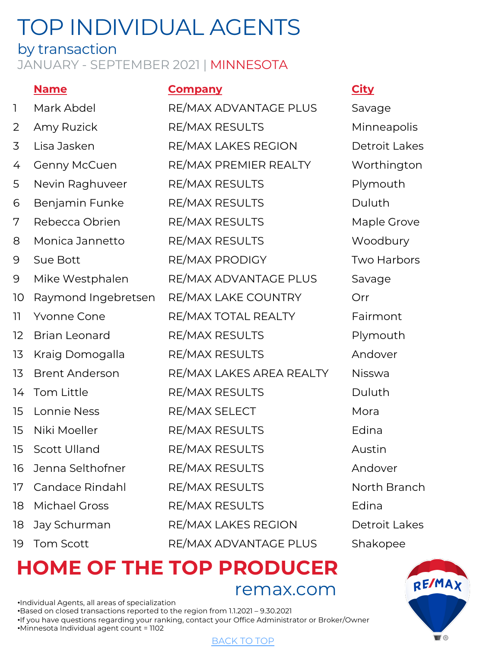### by transaction

### JANUARY - SEPTEMBER 2021 | MINNESOTA

### **Name Company City**

1 Mark Abdel RE/MAX ADVANTAGE PLUS Savage 2 Amy Ruzick RE/MAX RESULTS Minneapolis 3 Lisa Jasken RE/MAX LAKES REGION Detroit Lakes 4 Genny McCuen RE/MAX PREMIER REALTY Worthington 5 Nevin Raghuveer RE/MAX RESULTS Plymouth 6 Benjamin Funke RE/MAX RESULTS Duluth 7 Rebecca Obrien RE/MAX RESULTS Maple Grove 8 Monica Jannetto RE/MAX RESULTS Woodbury 9 Sue Bott **RE/MAX PRODIGY** Two Harbors 9 Mike Westphalen RE/MAX ADVANTAGE PLUS Savage 10 Raymond Ingebretsen RE/MAX LAKE COUNTRY Orr 11 Yvonne Cone **RE/MAX TOTAL REALTY** Fairmont 12 Brian Leonard RE/MAX RESULTS Plymouth 13 Kraig Domogalla RE/MAX RESULTS Andover 13 Brent Anderson RE/MAX LAKES AREA REALTY Nisswa 14 Tom Little RE/MAX RESULTS Duluth 15 Lonnie Ness RE/MAX SELECT Mora 15 Niki Moeller RE/MAX RESULTS Edina 15 Scott Ulland RE/MAX RESULTS Austin 16 Jenna Selthofner RE/MAX RESULTS Andover 17 Candace Rindahl RE/MAX RESULTS North Branch 18 Michael Gross RE/MAX RESULTS Edina 18 Jay Schurman RE/MAX LAKES REGION Detroit Lakes 19 Tom Scott RE/MAX ADVANTAGE PLUS Shakopee

<span id="page-13-0"></span>

## **HOME OF THE TO[P PROD](#page-0-0)UCER** remax.com

•Individual Agents, all areas of specialization •Based on closed transactions reported to the region from 1.1.2021 – 9.30.2021 •If you have questions regarding your ranking, contact your Office Administrator or Broker/Owner •Minnesota Individual agent count = 1102

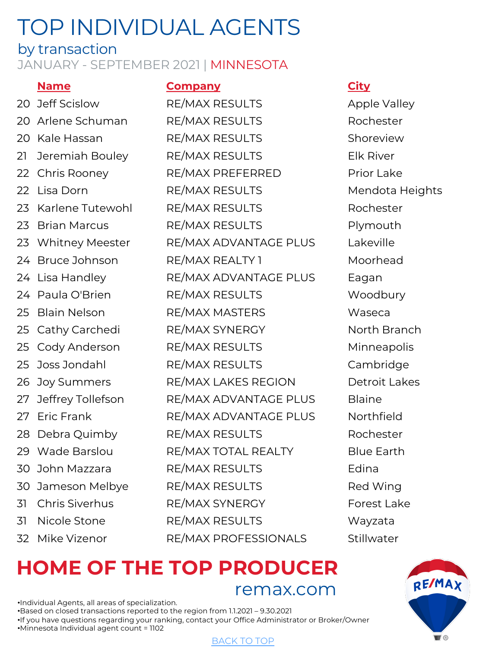### by transaction

### JANUARY - SEPTEMBER 2021 | MINNESOTA

**Name Company City** 20 Jeff Scislow RE/MAX RESULTS Apple Valley 20 Arlene Schuman RE/MAX RESULTS Rochester 20 Kale Hassan RE/MAX RESULTS Shoreview 21 Jeremiah Bouley RE/MAX RESULTS Elk River 22 Chris Rooney RE/MAX PREFERRED Prior Lake 22 Lisa Dorn **RE/MAX RESULTS** Mendota Heights 23 Karlene Tutewohl RE/MAX RESULTS Rochester 23 Brian Marcus RE/MAX RESULTS Plymouth 23 Whitney Meester RE/MAX ADVANTAGE PLUS Lakeville 24 Bruce Johnson RE/MAX REALTY 1 Moorhead 24 Lisa Handley **RE/MAX ADVANTAGE PLUS** Eagan 24 Paula O'Brien RE/MAX RESULTS Woodbury 25 Blain Nelson **RE/MAX MASTERS** Waseca 25 Cathy Carchedi RE/MAX SYNERGY North Branch 25 Cody Anderson RE/MAX RESULTS Minneapolis 25 Joss Jondahl RE/MAX RESULTS Cambridge 26 Joy Summers RE/MAX LAKES REGION Detroit Lakes 27 Jeffrey Tollefson RE/MAX ADVANTAGE PLUS Blaine 27 Eric Frank RE/MAX ADVANTAGE PLUS Northfield 28 Debra Quimby RE/MAX RESULTS Rochester 29 Wade Barslou RE/MAX TOTAL REALTY Blue Earth 30 John Mazzara RE/MAX RESULTS Edina 30 Jameson Melbye RE/MAX RESULTS Red Wing 31 Chris Siverhus RE/MAX SYNERGY Forest Lake 31 Nicole Stone RE/MAX RESULTS Wayzata 32 Mike Vizenor RE/MAX PROFESSIONALS Stillwater

## **HOME OF THE TO[P PROD](#page-0-0)UCER** remax.com

•Individual Agents, all areas of specialization. •Based on closed transactions reported to the region from 1.1.2021 – 9.30.2021 •If you have questions regarding your ranking, contact your Office Administrator or Broker/Owner •Minnesota Individual agent count = 1102

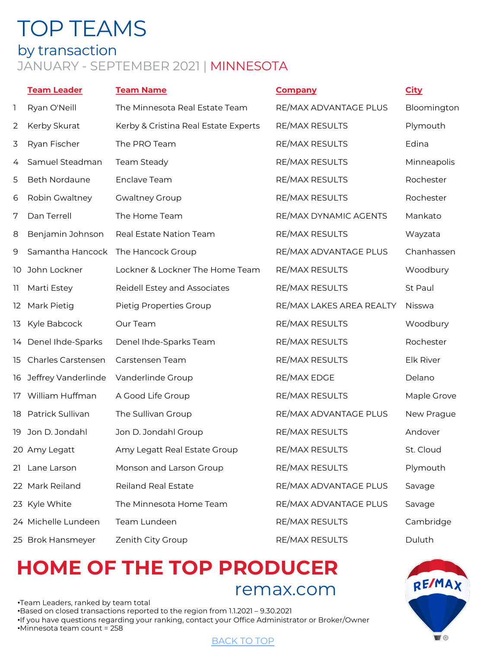## <span id="page-15-0"></span>TOP TEAMS by transaction JANUARY - SEPTEMBER 2021 | MINNESOTA

|    | <b>Team Leader</b>     | <b>Team Name</b>                     | <b>Company</b>           | <b>City</b>   |
|----|------------------------|--------------------------------------|--------------------------|---------------|
| 1  | Ryan O'Neill           | The Minnesota Real Estate Team       | RE/MAX ADVANTAGE PLUS    | Bloomington   |
| 2  | Kerby Skurat           | Kerby & Cristina Real Estate Experts | RE/MAX RESULTS           | Plymouth      |
| 3  | Ryan Fischer           | The PRO Team                         | RE/MAX RESULTS           | Edina         |
| 4  | Samuel Steadman        | Team Steady                          | RE/MAX RESULTS           | Minneapolis   |
| 5  | <b>Beth Nordaune</b>   | Enclave Team                         | RE/MAX RESULTS           | Rochester     |
| 6  | Robin Gwaltney         | <b>Gwaltney Group</b>                | RE/MAX RESULTS           | Rochester     |
| 7  | Dan Terrell            | The Home Team                        | RE/MAX DYNAMIC AGENTS    | Mankato       |
| 8  | Benjamin Johnson       | Real Estate Nation Team              | RE/MAX RESULTS           | Wayzata       |
| 9  |                        | Samantha Hancock The Hancock Group   | RE/MAX ADVANTAGE PLUS    | Chanhassen    |
|    | 10 John Lockner        | Lockner & Lockner The Home Team      | RE/MAX RESULTS           | Woodbury      |
| 11 | Marti Estey            | Reidell Estey and Associates         | RE/MAX RESULTS           | St Paul       |
|    | 12 Mark Pietig         | Pietig Properties Group              | RE/MAX LAKES AREA REALTY | <b>Nisswa</b> |
| 13 | Kyle Babcock           | Our Team                             | RE/MAX RESULTS           | Woodbury      |
|    | 14 Denel Ihde-Sparks   | Denel Ihde-Sparks Team               | RE/MAX RESULTS           | Rochester     |
| 15 | Charles Carstensen     | Carstensen Team                      | RE/MAX RESULTS           | Elk River     |
|    | 16 Jeffrey Vanderlinde | Vanderlinde Group                    | RE/MAX EDGE              | Delano        |
|    | 17 William Huffman     | A Good Life Group                    | <b>RE/MAX RESULTS</b>    | Maple Grove   |
|    | 18 Patrick Sullivan    | The Sullivan Group                   | RE/MAX ADVANTAGE PLUS    | New Prague    |
|    | 19 Jon D. Jondahl      | Jon D. Jondahl Group                 | RE/MAX RESULTS           | Andover       |
|    | 20 Amy Legatt          | Amy Legatt Real Estate Group         | RE/MAX RESULTS           | St. Cloud     |
|    | 21 Lane Larson         | Monson and Larson Group              | RE/MAX RESULTS           | Plymouth      |
|    | 22 Mark Reiland        | <b>Reiland Real Estate</b>           | RE/MAX ADVANTAGE PLUS    | Savage        |
|    | 23 Kyle White          | The Minnesota Home Team              | RE/MAX ADVANTAGE PLUS    | Savage        |
|    | 24 Michelle Lundeen    | Team Lundeen                         | RE/MAX RESULTS           | Cambridge     |
|    | 25 Brok Hansmeyer      | Zenith City Group                    | <b>RE/MAX RESULTS</b>    | Duluth        |

## **HOME OF THE TO[P PROD](#page-0-0)UCER** remax.com

•Team Leaders, ranked by team total •Based on closed transactions reported to the region from 1.1.2021 – 9.30.2021 •If you have questions regarding your ranking, contact your Office Administrator or Broker/Owner •Minnesota team count = 258

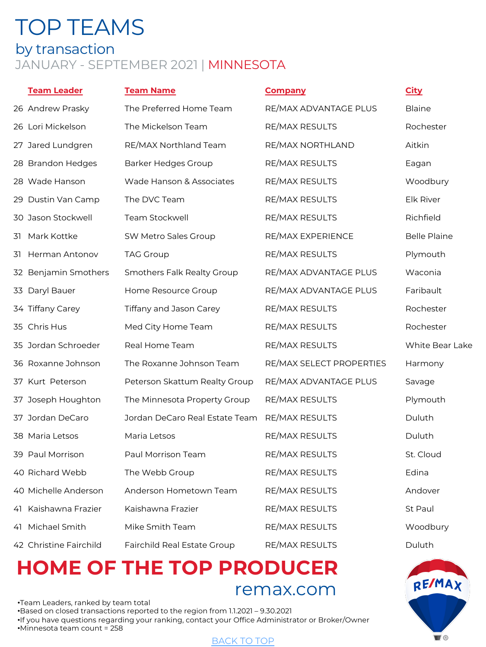## TOP TEAMS by transaction JANUARY - SEPTEMBER 2021 | MINNESOTA

### **Team Leader Team Name Company City**

|    | 26 Andrew Prasky       | The Preferred Home Team            | RE/MAX ADVANTAGE PLUS    | <b>Blaine</b>       |
|----|------------------------|------------------------------------|--------------------------|---------------------|
|    | 26 Lori Mickelson      | The Mickelson Team                 | RE/MAX RESULTS           | Rochester           |
|    | 27 Jared Lundgren      | RE/MAX Northland Team              | RE/MAX NORTHLAND         | Aitkin              |
|    | 28 Brandon Hedges      | <b>Barker Hedges Group</b>         | RE/MAX RESULTS           | Eagan               |
|    | 28 Wade Hanson         | Wade Hanson & Associates           | RE/MAX RESULTS           | Woodbury            |
|    | 29 Dustin Van Camp     | The DVC Team                       | RE/MAX RESULTS           | Elk River           |
|    | 30 Jason Stockwell     | <b>Team Stockwell</b>              | RE/MAX RESULTS           | Richfield           |
| 31 | Mark Kottke            | SW Metro Sales Group               | RE/MAX EXPERIENCE        | <b>Belle Plaine</b> |
| 31 | Herman Antonov         | <b>TAG Group</b>                   | RE/MAX RESULTS           | Plymouth            |
|    | 32 Benjamin Smothers   | Smothers Falk Realty Group         | RE/MAX ADVANTAGE PLUS    | Waconia             |
|    | 33 Daryl Bauer         | Home Resource Group                | RE/MAX ADVANTAGE PLUS    | Faribault           |
|    | 34 Tiffany Carey       | Tiffany and Jason Carey            | RE/MAX RESULTS           | Rochester           |
|    | 35 Chris Hus           | Med City Home Team                 | RE/MAX RESULTS           | Rochester           |
|    | 35 Jordan Schroeder    | Real Home Team                     | RE/MAX RESULTS           | White Bear Lake     |
|    | 36 Roxanne Johnson     | The Roxanne Johnson Team           | RE/MAX SELECT PROPERTIES | Harmony             |
|    | 37 Kurt Peterson       | Peterson Skattum Realty Group      | RE/MAX ADVANTAGE PLUS    | Savage              |
|    | 37 Joseph Houghton     | The Minnesota Property Group       | RE/MAX RESULTS           | Plymouth            |
|    | 37 Jordan DeCaro       | Jordan DeCaro Real Estate Team     | RE/MAX RESULTS           | Duluth              |
|    | 38 Maria Letsos        | Maria Letsos                       | RE/MAX RESULTS           | Duluth              |
|    | 39 Paul Morrison       | Paul Morrison Team                 | RE/MAX RESULTS           | St. Cloud           |
|    | 40 Richard Webb        | The Webb Group                     | RE/MAX RESULTS           | Edina               |
|    | 40 Michelle Anderson   | Anderson Hometown Team             | RE/MAX RESULTS           | Andover             |
| 41 | Kaishawna Frazier      | Kaishawna Frazier                  | RE/MAX RESULTS           | St Paul             |
|    | 41 Michael Smith       | Mike Smith Team                    | RE/MAX RESULTS           | Woodbury            |
|    | 42 Christine Fairchild | <b>Fairchild Real Estate Group</b> | <b>RE/MAX RESULTS</b>    | Duluth              |

## **HOME OF THE TO[P PROD](#page-0-0)UCER** remax.com

•Team Leaders, ranked by team total •Based on closed transactions reported to the region from 1.1.2021 – 9.30.2021 •If you have questions regarding your ranking, contact your Office Administrator or Broker/Owner •Minnesota team count = 258